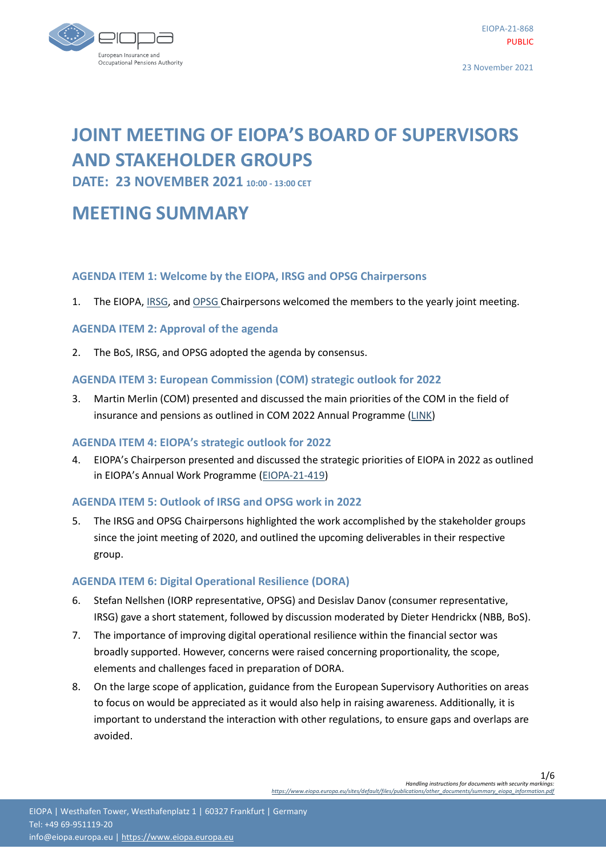

# **JOINT MEETING OF EIOPA'S BOARD OF SUPERVISORS AND STAKEHOLDER GROUPS**

**DATE: 23 NOVEMBER 2021 10:00 - 13:00 CET**

## **MEETING SUMMARY**

## **AGENDA ITEM 1: Welcome by the EIOPA, IRSG and OPSG Chairpersons**

1. The EIOPA, [IRSG,](https://www.eiopa.europa.eu/about/working-stakeholders/insurance-and-reinsurance-stakeholder-group_en) an[d OPSG](https://www.eiopa.europa.eu/about/working-stakeholders/occupational-pensions-stakeholder-group_en) Chairpersons welcomed the members to the yearly joint meeting.

## **AGENDA ITEM 2: Approval of the agenda**

2. The BoS, IRSG, and OPSG adopted the agenda by consensus.

## **AGENDA ITEM 3: European Commission (COM) strategic outlook for 2022**

3. Martin Merlin (COM) presented and discussed the main priorities of the COM in the field of insurance and pensions as outlined in COM 2022 Annual Programme [\(LINK\)](https://ec.europa.eu/info/strategy-documents/commission-work-programme/commission-work-programme-2022_en)

## **AGENDA ITEM 4: EIOPA's strategic outlook for 2022**

4. EIOPA's Chairperson presented and discussed the strategic priorities of EIOPA in 2022 as outlined in EIOPA's Annual Work Programme ([EIOPA-21-419\)](https://www.eiopa.europa.eu/media/news/eiopa-sets-out-its-strategic-priorities-coming-year)

## **AGENDA ITEM 5: Outlook of IRSG and OPSG work in 2022**

5. The IRSG and OPSG Chairpersons highlighted the work accomplished by the stakeholder groups since the joint meeting of 2020, and outlined the upcoming deliverables in their respective group.

## **AGENDA ITEM 6: Digital Operational Resilience (DORA)**

- 6. Stefan Nellshen (IORP representative, OPSG) and Desislav Danov (consumer representative, IRSG) gave a short statement, followed by discussion moderated by Dieter Hendrickx (NBB, BoS).
- 7. The importance of improving digital operational resilience within the financial sector was broadly supported. However, concerns were raised concerning proportionality, the scope, elements and challenges faced in preparation of DORA.
- 8. On the large scope of application, guidance from the European Supervisory Authorities on areas to focus on would be appreciated as it would also help in raising awareness. Additionally, it is important to understand the interaction with other regulations, to ensure gaps and overlaps are avoided.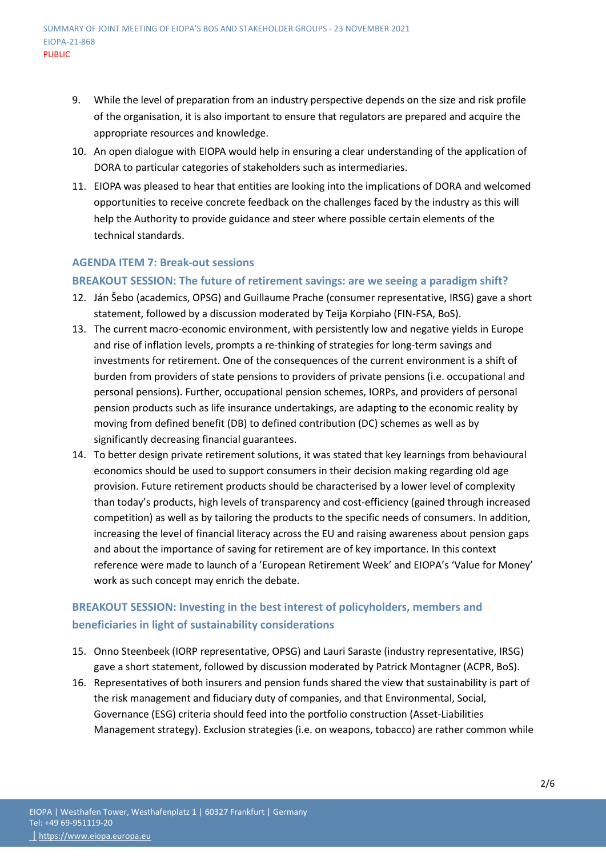- 9. While the level of preparation from an industry perspective depends on the size and risk profile of the organisation, it is also important to ensure that regulators are prepared and acquire the appropriate resources and knowledge.
- 10. An open dialogue with EIOPA would help in ensuring a clear understanding of the application of DORA to particular categories of stakeholders such as intermediaries.
- 11. EIOPA was pleased to hear that entities are looking into the implications of DORA and welcomed opportunities to receive concrete feedback on the challenges faced by the industry as this will help the Authority to provide guidance and steer where possible certain elements of the technical standards.

## **AGENDA ITEM 7: Break-out sessions**

## **BREAKOUT SESSION: The future of retirement savings: are we seeing a paradigm shift?**

- 12. Ján Šebo (academics, OPSG) and Guillaume Prache (consumer representative, IRSG) gave a short statement, followed by a discussion moderated by Teija Korpiaho (FIN-FSA, BoS).
- 13. The current macro-economic environment, with persistently low and negative yields in Europe and rise of inflation levels, prompts a re-thinking of strategies for long-term savings and investments for retirement. One of the consequences of the current environment is a shift of burden from providers of state pensions to providers of private pensions (i.e. occupational and personal pensions). Further, occupational pension schemes, IORPs, and providers of personal pension products such as life insurance undertakings, are adapting to the economic reality by moving from defined benefit (DB) to defined contribution (DC) schemes as well as by significantly decreasing financial guarantees.
- 14. To better design private retirement solutions, it was stated that key learnings from behavioural economics should be used to support consumers in their decision making regarding old age provision. Future retirement products should be characterised by a lower level of complexity than today's products, high levels of transparency and cost-efficiency (gained through increased competition) as well as by tailoring the products to the specific needs of consumers. In addition, increasing the level of financial literacy across the EU and raising awareness about pension gaps and about the importance of saving for retirement are of key importance. In this context reference were made to launch of a 'European Retirement Week' and EIOPA's 'Value for Money' work as such concept may enrich the debate.

## **BREAKOUT SESSION: Investing in the best interest of policyholders, members and beneficiaries in light of sustainability considerations**

- 15. Onno Steenbeek (IORP representative, OPSG) and Lauri Saraste (industry representative, IRSG) gave a short statement, followed by discussion moderated by Patrick Montagner (ACPR, BoS).
- 16. Representatives of both insurers and pension funds shared the view that sustainability is part of the risk management and fiduciary duty of companies, and that Environmental, Social, Governance (ESG) criteria should feed into the portfolio construction (Asset-Liabilities Management strategy). Exclusion strategies (i.e. on weapons, tobacco) are rather common while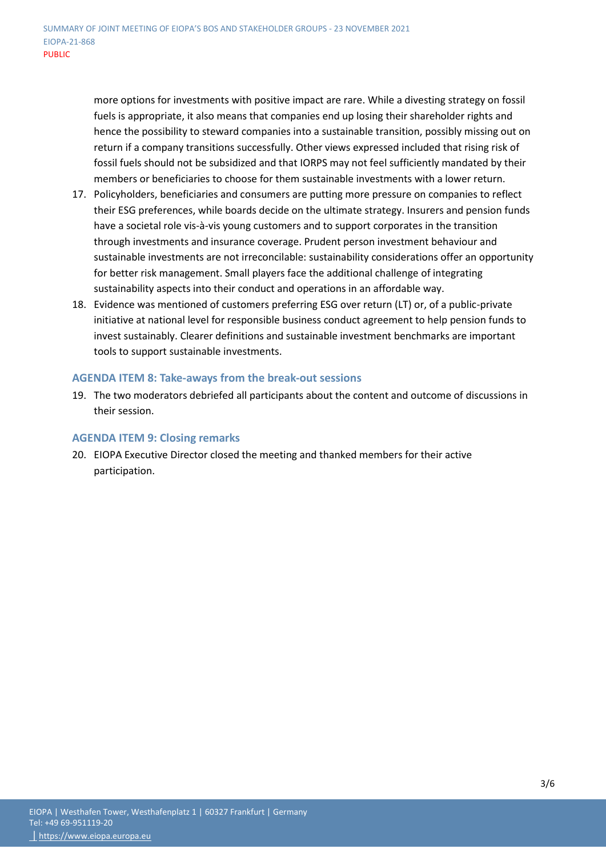more options for investments with positive impact are rare. While a divesting strategy on fossil fuels is appropriate, it also means that companies end up losing their shareholder rights and hence the possibility to steward companies into a sustainable transition, possibly missing out on return if a company transitions successfully. Other views expressed included that rising risk of fossil fuels should not be subsidized and that IORPS may not feel sufficiently mandated by their members or beneficiaries to choose for them sustainable investments with a lower return.

- 17. Policyholders, beneficiaries and consumers are putting more pressure on companies to reflect their ESG preferences, while boards decide on the ultimate strategy. Insurers and pension funds have a societal role vis-à-vis young customers and to support corporates in the transition through investments and insurance coverage. Prudent person investment behaviour and sustainable investments are not irreconcilable: sustainability considerations offer an opportunity for better risk management. Small players face the additional challenge of integrating sustainability aspects into their conduct and operations in an affordable way.
- 18. Evidence was mentioned of customers preferring ESG over return (LT) or, of a public-private initiative at national level for responsible business conduct agreement to help pension funds to invest sustainably. Clearer definitions and sustainable investment benchmarks are important tools to support sustainable investments.

## **AGENDA ITEM 8: Take-aways from the break-out sessions**

19. The two moderators debriefed all participants about the content and outcome of discussions in their session.

## **AGENDA ITEM 9: Closing remarks**

20. EIOPA Executive Director closed the meeting and thanked members for their active participation.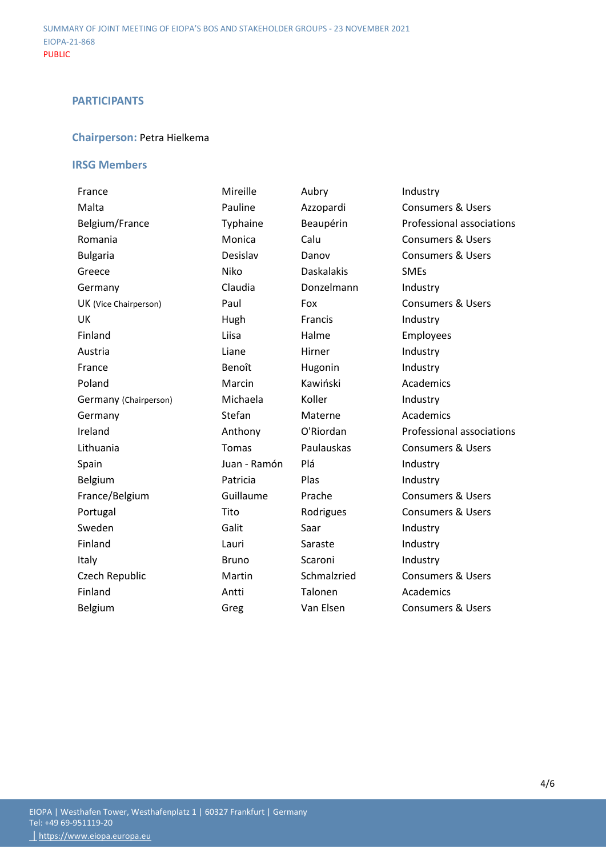## **PARTICIPANTS**

## **Chairperson:** Petra Hielkema

## **IRSG Members**

| France                | Mireille     | Aubry             | Industry                     |
|-----------------------|--------------|-------------------|------------------------------|
| Malta                 | Pauline      | Azzopardi         | <b>Consumers &amp; Users</b> |
| Belgium/France        | Typhaine     | Beaupérin         | Professional associations    |
| Romania               | Monica       | Calu              | <b>Consumers &amp; Users</b> |
| <b>Bulgaria</b>       | Desislav     | Danov             | <b>Consumers &amp; Users</b> |
| Greece                | Niko         | <b>Daskalakis</b> | <b>SMEs</b>                  |
| Germany               | Claudia      | Donzelmann        | Industry                     |
| UK (Vice Chairperson) | Paul         | Fox               | <b>Consumers &amp; Users</b> |
| <b>UK</b>             | Hugh         | Francis           | Industry                     |
| Finland               | Liisa        | Halme             | Employees                    |
| Austria               | Liane        | Hirner            | Industry                     |
| France                | Benoît       | Hugonin           | Industry                     |
| Poland                | Marcin       | Kawiński          | Academics                    |
| Germany (Chairperson) | Michaela     | Koller            | Industry                     |
| Germany               | Stefan       | Materne           | Academics                    |
| Ireland               | Anthony      | O'Riordan         | Professional associations    |
| Lithuania             | <b>Tomas</b> | Paulauskas        | <b>Consumers &amp; Users</b> |
| Spain                 | Juan - Ramón | Plá               | Industry                     |
| <b>Belgium</b>        | Patricia     | Plas              | Industry                     |
| France/Belgium        | Guillaume    | Prache            | <b>Consumers &amp; Users</b> |
| Portugal              | Tito         | Rodrigues         | <b>Consumers &amp; Users</b> |
| Sweden                | Galit        | Saar              | Industry                     |
| Finland               | Lauri        | Saraste           | Industry                     |
| Italy                 | <b>Bruno</b> | Scaroni           | Industry                     |
| Czech Republic        | Martin       | Schmalzried       | <b>Consumers &amp; Users</b> |
| Finland               | Antti        | Talonen           | Academics                    |
| Belgium               | Greg         | Van Elsen         | <b>Consumers &amp; Users</b> |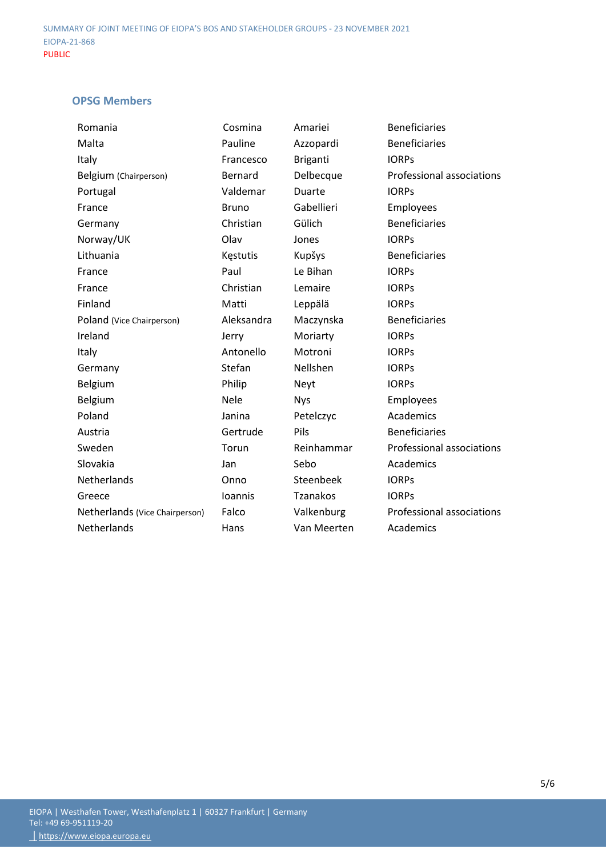## **OPSG Members**

| Romania                        | Cosmina         | Amariei         | <b>Beneficiaries</b>      |
|--------------------------------|-----------------|-----------------|---------------------------|
| Malta                          | Pauline         | Azzopardi       | <b>Beneficiaries</b>      |
| Italy                          | Francesco       | <b>Briganti</b> | <b>IORPS</b>              |
| Belgium (Chairperson)          | Bernard         | Delbecque       | Professional associations |
| Portugal                       | Valdemar        | Duarte          | <b>IORPS</b>              |
| France                         | <b>Bruno</b>    | Gabellieri      | Employees                 |
| Germany                        | Christian       | Gülich          | <b>Beneficiaries</b>      |
| Norway/UK                      | Olav            | Jones           | <b>IORPS</b>              |
| Lithuania                      | <b>Kestutis</b> | Kupšys          | <b>Beneficiaries</b>      |
| France                         | Paul            | Le Bihan        | <b>IORPS</b>              |
| France                         | Christian       | Lemaire         | <b>IORPS</b>              |
| Finland                        | Matti           | Leppälä         | <b>IORPS</b>              |
| Poland (Vice Chairperson)      | Aleksandra      | Maczynska       | <b>Beneficiaries</b>      |
| Ireland                        | Jerry           | Moriarty        | <b>IORPs</b>              |
| Italy                          | Antonello       | Motroni         | <b>IORPS</b>              |
| Germany                        | Stefan          | Nellshen        | <b>IORPs</b>              |
| Belgium                        | Philip          | Neyt            | <b>IORPS</b>              |
| Belgium                        | Nele            | <b>Nys</b>      | Employees                 |
| Poland                         | Janina          | Petelczyc       | Academics                 |
| Austria                        | Gertrude        | Pils            | <b>Beneficiaries</b>      |
| Sweden                         | Torun           | Reinhammar      | Professional associations |
| Slovakia                       | Jan             | Sebo            | Academics                 |
| Netherlands                    | Onno            | Steenbeek       | <b>IORPs</b>              |
| Greece                         | Ioannis         | <b>Tzanakos</b> | <b>IORPS</b>              |
| Netherlands (Vice Chairperson) | Falco           | Valkenburg      | Professional associations |
| Netherlands                    | Hans            | Van Meerten     | Academics                 |